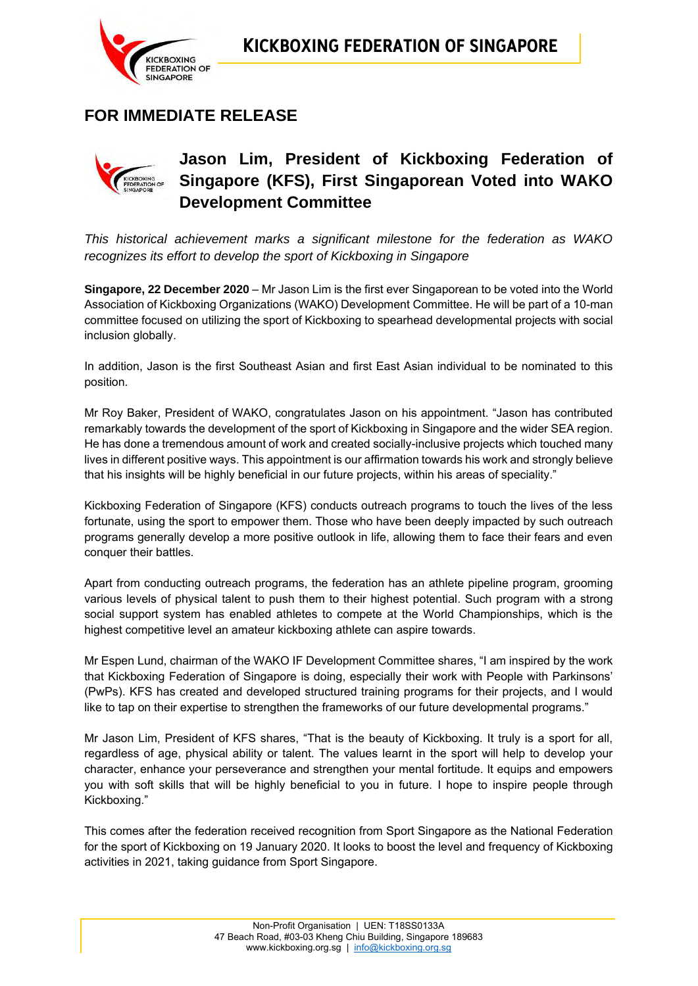

# **FOR IMMEDIATE RELEASE**



# **Jason Lim, President of Kickboxing Federation of Singapore (KFS), First Singaporean Voted into WAKO Development Committee**

*This historical achievement marks a significant milestone for the federation as WAKO recognizes its effort to develop the sport of Kickboxing in Singapore*

**Singapore, 22 December 2020** – Mr Jason Lim is the first ever Singaporean to be voted into the World Association of Kickboxing Organizations (WAKO) Development Committee. He will be part of a 10-man committee focused on utilizing the sport of Kickboxing to spearhead developmental projects with social inclusion globally.

In addition, Jason is the first Southeast Asian and first East Asian individual to be nominated to this position.

Mr Roy Baker, President of WAKO, congratulates Jason on his appointment. "Jason has contributed remarkably towards the development of the sport of Kickboxing in Singapore and the wider SEA region. He has done a tremendous amount of work and created socially-inclusive projects which touched many lives in different positive ways. This appointment is our affirmation towards his work and strongly believe that his insights will be highly beneficial in our future projects, within his areas of speciality."

Kickboxing Federation of Singapore (KFS) conducts outreach programs to touch the lives of the less fortunate, using the sport to empower them. Those who have been deeply impacted by such outreach programs generally develop a more positive outlook in life, allowing them to face their fears and even conquer their battles.

Apart from conducting outreach programs, the federation has an athlete pipeline program, grooming various levels of physical talent to push them to their highest potential. Such program with a strong social support system has enabled athletes to compete at the World Championships, which is the highest competitive level an amateur kickboxing athlete can aspire towards.

Mr Espen Lund, chairman of the WAKO IF Development Committee shares, "I am inspired by the work that Kickboxing Federation of Singapore is doing, especially their work with People with Parkinsons' (PwPs). KFS has created and developed structured training programs for their projects, and I would like to tap on their expertise to strengthen the frameworks of our future developmental programs."

Mr Jason Lim, President of KFS shares, "That is the beauty of Kickboxing. It truly is a sport for all, regardless of age, physical ability or talent. The values learnt in the sport will help to develop your character, enhance your perseverance and strengthen your mental fortitude. It equips and empowers you with soft skills that will be highly beneficial to you in future. I hope to inspire people through Kickboxing."

This comes after the federation received recognition from Sport Singapore as the National Federation for the sport of Kickboxing on 19 January 2020. It looks to boost the level and frequency of Kickboxing activities in 2021, taking guidance from Sport Singapore.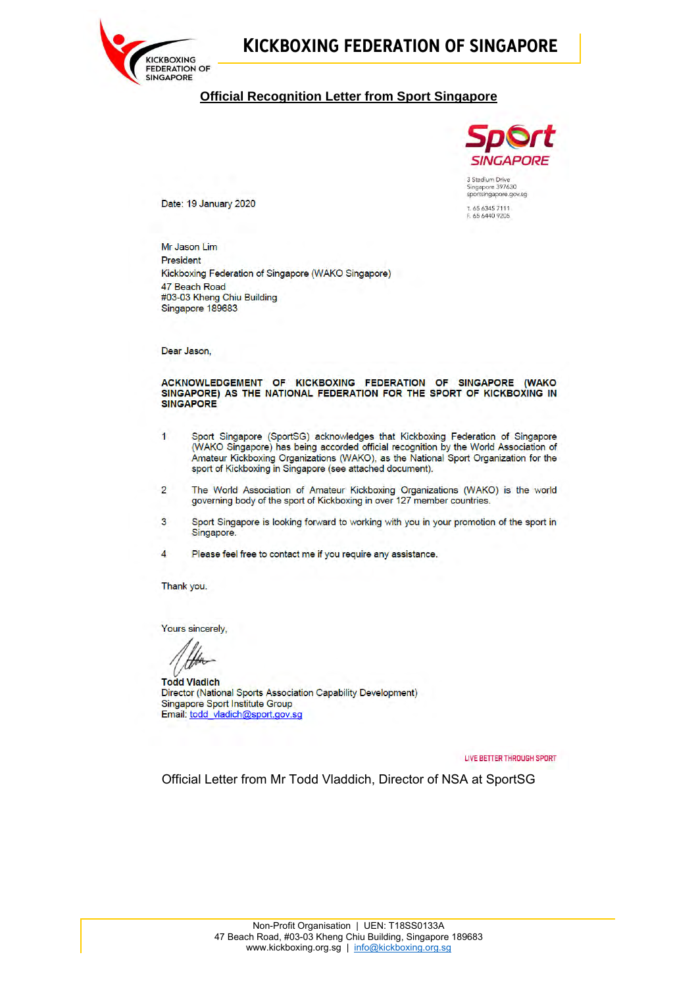

# **KICKBOXING FEDERATION OF SINGAPORE**

### **Official Recognition Letter from Sport Singapore**



T. 65 6345 7111 65 6440 9205

Date: 19 January 2020

Mr Jason Lim President Kickboxing Federation of Singapore (WAKO Singapore) 47 Beach Road #03-03 Kheng Chiu Building Singapore 189683

Dear Jason,

#### ACKNOWLEDGEMENT OF KICKBOXING FEDERATION OF SINGAPORE (WAKO SINGAPORE) AS THE NATIONAL FEDERATION FOR THE SPORT OF KICKBOXING IN **SINGAPORE**

- $\overline{1}$ Sport Singapore (SportSG) acknowledges that Kickboxing Federation of Singapore (WAKO Singapore) has being accorded official recognition by the World Association of Amateur Kickboxing Organizations (WAKO), as the National Sport Organization for the sport of Kickboxing in Singapore (see attached document).
- The World Association of Amateur Kickboxing Organizations (WAKO) is the world  $\overline{2}$ governing body of the sport of Kickboxing in over 127 member countries.
- 3 Sport Singapore is looking forward to working with you in your promotion of the sport in Singapore.

Please feel free to contact me if you require any assistance.  $\boldsymbol{\Lambda}$ 

Thank you.

Yours sincerely.

**Todd Vladich** Director (National Sports Association Capability Development) Singapore Sport Institute Group Email: todd\_vladich@sport.gov.sg

LIVE BETTER THROUGH SPORT

Official Letter from Mr Todd Vladdich, Director of NSA at SportSG